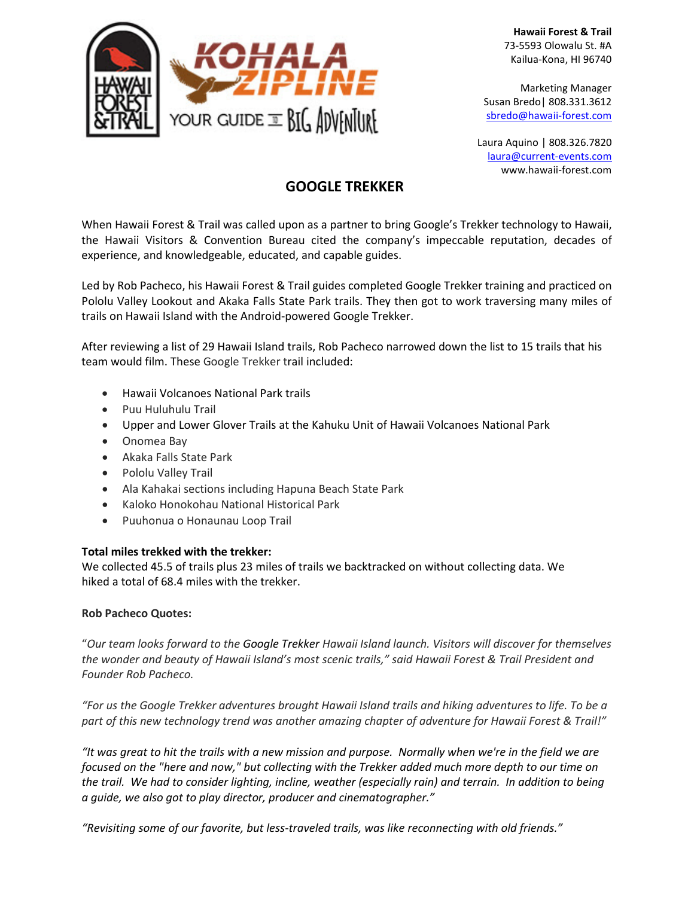

**Hawaii Forest & Trail** 73-5593 Olowalu St. #A Kailua-Kona, HI 96740

Marketing Manager Susan Bredo| 808.331.3612 [sbredo@hawaii-forest.com](mailto:sbredo@hawaii-forest.com)

Laura Aquino | 808.326.7820 laura@current-events.com www.hawaii-forest.com

## **GOOGLE TREKKER**

When Hawaii Forest & Trail was called upon as a partner to bring Google's Trekker technology to Hawaii, the Hawaii Visitors & Convention Bureau cited the company's impeccable reputation, decades of experience, and knowledgeable, educated, and capable guides.

Led by Rob Pacheco, his Hawaii Forest & Trail guides completed Google Trekker training and practiced on Pololu Valley Lookout and Akaka Falls State Park trails. They then got to work traversing many miles of trails on Hawaii Island with the Android-powered Google Trekker.

After reviewing a list of 29 Hawaii Island trails, Rob Pacheco narrowed down the list to 15 trails that his team would film. These Google Trekker trail included:

- Hawaii Volcanoes National Park trails
- Puu Huluhulu Trail
- Upper and Lower Glover Trails at the Kahuku Unit of Hawaii Volcanoes National Park
- Onomea Bay
- Akaka Falls State Park
- Pololu Valley Trail
- Ala Kahakai sections including Hapuna Beach State Park
- Kaloko Honokohau National Historical Park
- Puuhonua o Honaunau Loop Trail

## **Total miles trekked with the trekker:**

We collected 45.5 of trails plus 23 miles of trails we backtracked on without collecting data. We hiked a total of 68.4 miles with the trekker.

## **Rob Pacheco Quotes:**

"*Our team looks forward to the Google Trekker Hawaii Island launch. Visitors will discover for themselves the wonder and beauty of Hawaii Island's most scenic trails," said Hawaii Forest & Trail President and Founder Rob Pacheco.* 

*"For us the Google Trekker adventures brought Hawaii Island trails and hiking adventures to life. To be a part of this new technology trend was another amazing chapter of adventure for Hawaii Forest & Trail!"* 

*"It was great to hit the trails with a new mission and purpose. Normally when we're in the field we are focused on the "here and now," but collecting with the Trekker added much more depth to our time on the trail. We had to consider lighting, incline, weather (especially rain) and terrain. In addition to being a guide, we also got to play director, producer and cinematographer."*

*"Revisiting some of our favorite, but less-traveled trails, was like reconnecting with old friends."*